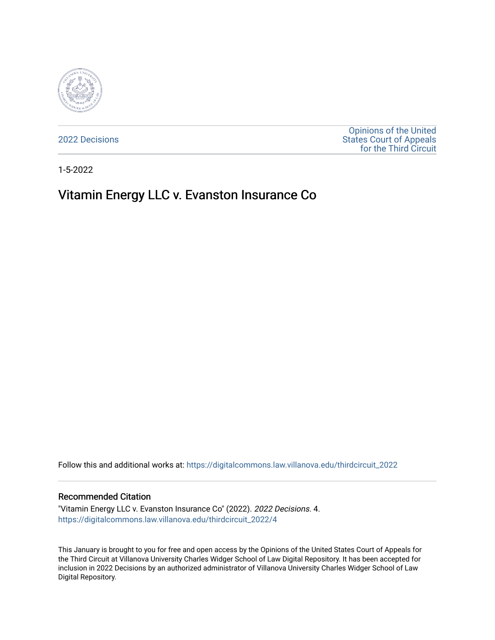

[2022 Decisions](https://digitalcommons.law.villanova.edu/thirdcircuit_2022)

[Opinions of the United](https://digitalcommons.law.villanova.edu/thirdcircuit)  [States Court of Appeals](https://digitalcommons.law.villanova.edu/thirdcircuit)  [for the Third Circuit](https://digitalcommons.law.villanova.edu/thirdcircuit) 

1-5-2022

# Vitamin Energy LLC v. Evanston Insurance Co

Follow this and additional works at: [https://digitalcommons.law.villanova.edu/thirdcircuit\\_2022](https://digitalcommons.law.villanova.edu/thirdcircuit_2022?utm_source=digitalcommons.law.villanova.edu%2Fthirdcircuit_2022%2F4&utm_medium=PDF&utm_campaign=PDFCoverPages) 

#### Recommended Citation

"Vitamin Energy LLC v. Evanston Insurance Co" (2022). 2022 Decisions. 4. [https://digitalcommons.law.villanova.edu/thirdcircuit\\_2022/4](https://digitalcommons.law.villanova.edu/thirdcircuit_2022/4?utm_source=digitalcommons.law.villanova.edu%2Fthirdcircuit_2022%2F4&utm_medium=PDF&utm_campaign=PDFCoverPages) 

This January is brought to you for free and open access by the Opinions of the United States Court of Appeals for the Third Circuit at Villanova University Charles Widger School of Law Digital Repository. It has been accepted for inclusion in 2022 Decisions by an authorized administrator of Villanova University Charles Widger School of Law Digital Repository.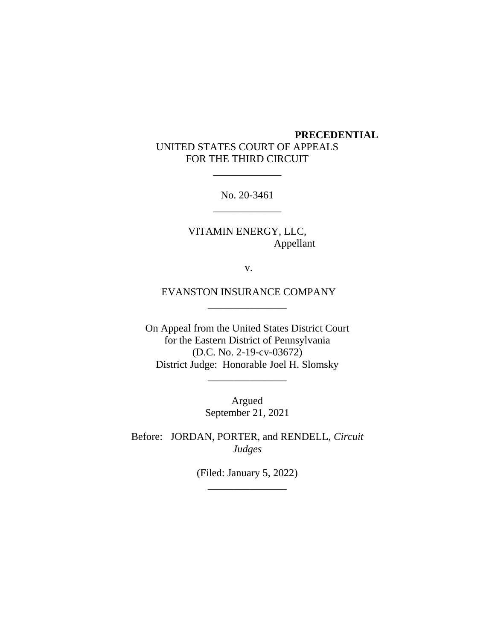## **PRECEDENTIAL** UNITED STATES COURT OF APPEALS FOR THE THIRD CIRCUIT

No. 20-3461 \_\_\_\_\_\_\_\_\_\_\_\_\_

\_\_\_\_\_\_\_\_\_\_\_\_\_

VITAMIN ENERGY, LLC, Appellant

v.

EVANSTON INSURANCE COMPANY \_\_\_\_\_\_\_\_\_\_\_\_\_\_\_

On Appeal from the United States District Court for the Eastern District of Pennsylvania (D.C. No. 2-19-cv-03672) District Judge: Honorable Joel H. Slomsky

\_\_\_\_\_\_\_\_\_\_\_\_\_\_\_

Argued September 21, 2021

Before: JORDAN, PORTER, and RENDELL, *Circuit Judges*

> (Filed: January 5, 2022) \_\_\_\_\_\_\_\_\_\_\_\_\_\_\_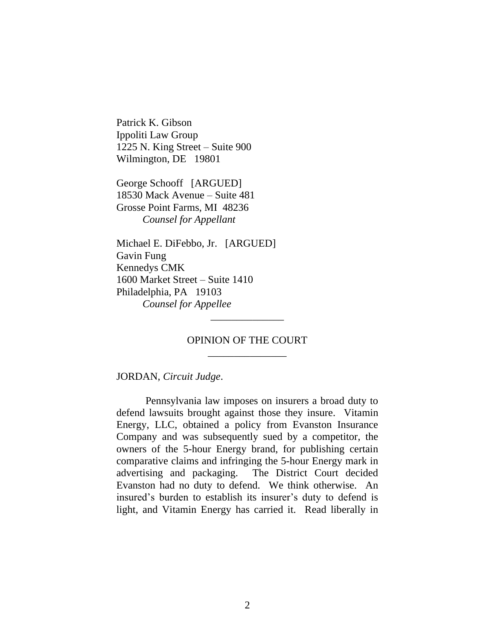Patrick K. Gibson Ippoliti Law Group 1225 N. King Street – Suite 900 Wilmington, DE 19801

George Schooff [ARGUED] 18530 Mack Avenue – Suite 481 Grosse Point Farms, MI 48236 *Counsel for Appellant*

Michael E. DiFebbo, Jr. [ARGUED] Gavin Fung Kennedys CMK 1600 Market Street – Suite 1410 Philadelphia, PA 19103 *Counsel for Appellee*

> OPINION OF THE COURT \_\_\_\_\_\_\_\_\_\_\_\_\_\_\_

\_\_\_\_\_\_\_\_\_\_\_\_\_\_

JORDAN, *Circuit Judge*.

Pennsylvania law imposes on insurers a broad duty to defend lawsuits brought against those they insure. Vitamin Energy, LLC, obtained a policy from Evanston Insurance Company and was subsequently sued by a competitor, the owners of the 5-hour Energy brand, for publishing certain comparative claims and infringing the 5-hour Energy mark in advertising and packaging. The District Court decided Evanston had no duty to defend. We think otherwise. An insured's burden to establish its insurer's duty to defend is light, and Vitamin Energy has carried it. Read liberally in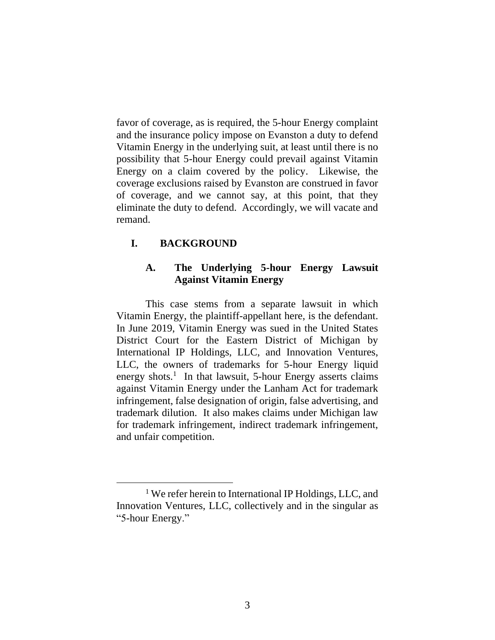favor of coverage, as is required, the 5-hour Energy complaint and the insurance policy impose on Evanston a duty to defend Vitamin Energy in the underlying suit, at least until there is no possibility that 5-hour Energy could prevail against Vitamin Energy on a claim covered by the policy. Likewise, the coverage exclusions raised by Evanston are construed in favor of coverage, and we cannot say, at this point, that they eliminate the duty to defend. Accordingly, we will vacate and remand.

## **I. BACKGROUND**

## **A. The Underlying 5-hour Energy Lawsuit Against Vitamin Energy**

This case stems from a separate lawsuit in which Vitamin Energy, the plaintiff-appellant here, is the defendant. In June 2019, Vitamin Energy was sued in the United States District Court for the Eastern District of Michigan by International IP Holdings, LLC, and Innovation Ventures, LLC, the owners of trademarks for 5-hour Energy liquid energy shots.<sup>1</sup> In that lawsuit, 5-hour Energy asserts claims against Vitamin Energy under the Lanham Act for trademark infringement, false designation of origin, false advertising, and trademark dilution. It also makes claims under Michigan law for trademark infringement, indirect trademark infringement, and unfair competition.

<sup>&</sup>lt;sup>1</sup> We refer herein to International IP Holdings, LLC, and Innovation Ventures, LLC, collectively and in the singular as "5-hour Energy."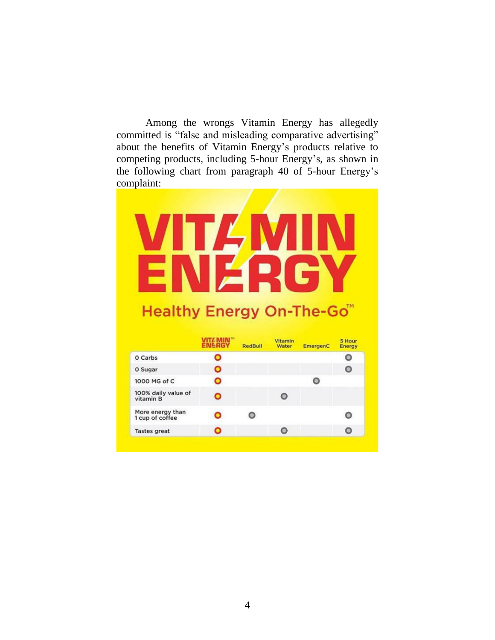Among the wrongs Vitamin Energy has allegedly committed is "false and misleading comparative advertising" about the benefits of Vitamin Energy's products relative to competing products, including 5-hour Energy's, as shown in the following chart from paragraph 40 of 5-hour Energy's complaint:

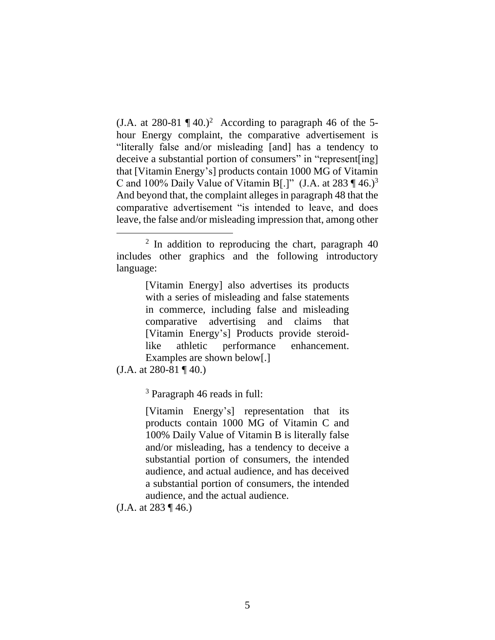(J.A. at 280-81  $\P$  40.)<sup>2</sup> According to paragraph 46 of the 5hour Energy complaint, the comparative advertisement is "literally false and/or misleading [and] has a tendency to deceive a substantial portion of consumers" in "represent[ing] that [Vitamin Energy's] products contain 1000 MG of Vitamin C and 100% Daily Value of Vitamin B[.]" (J.A. at 283  $\P$  46.)<sup>3</sup> And beyond that, the complaint alleges in paragraph 48 that the comparative advertisement "is intended to leave, and does leave, the false and/or misleading impression that, among other

<span id="page-5-0"></span>[Vitamin Energy] also advertises its products with a series of misleading and false statements in commerce, including false and misleading comparative advertising and claims that [Vitamin Energy's] Products provide steroidlike athletic performance enhancement. Examples are shown below[.]

 $(J.A. at 280-81 \text{ T }40.)$ 

<sup>3</sup> Paragraph 46 reads in full:

[Vitamin Energy's] representation that its products contain 1000 MG of Vitamin C and 100% Daily Value of Vitamin B is literally false and/or misleading, has a tendency to deceive a substantial portion of consumers, the intended audience, and actual audience, and has deceived a substantial portion of consumers, the intended audience, and the actual audience.

(J.A. at 283 ¶ 46.)

<sup>&</sup>lt;sup>2</sup> In addition to reproducing the chart, paragraph 40 includes other graphics and the following introductory language: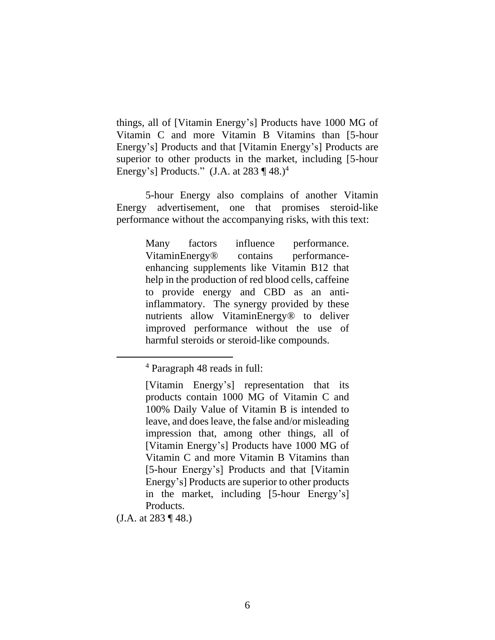things, all of [Vitamin Energy's] Products have 1000 MG of Vitamin C and more Vitamin B Vitamins than [5-hour Energy's] Products and that [Vitamin Energy's] Products are superior to other products in the market, including [5-hour Energy's] Products." (J.A. at 283  $\P$  48.)<sup>4</sup>

5-hour Energy also complains of another Vitamin Energy advertisement, one that promises steroid-like performance without the accompanying risks, with this text:

> <span id="page-6-0"></span>Many factors influence performance. VitaminEnergy® contains performanceenhancing supplements like Vitamin B12 that help in the production of red blood cells, caffeine to provide energy and CBD as an antiinflammatory. The synergy provided by these nutrients allow VitaminEnergy® to deliver improved performance without the use of harmful steroids or steroid-like compounds.

(J.A. at 283 ¶ 48.)

<sup>4</sup> Paragraph 48 reads in full:

<sup>[</sup>Vitamin Energy's] representation that its products contain 1000 MG of Vitamin C and 100% Daily Value of Vitamin B is intended to leave, and does leave, the false and/or misleading impression that, among other things, all of [Vitamin Energy's] Products have 1000 MG of Vitamin C and more Vitamin B Vitamins than [5-hour Energy's] Products and that [Vitamin Energy's] Products are superior to other products in the market, including [5-hour Energy's] Products.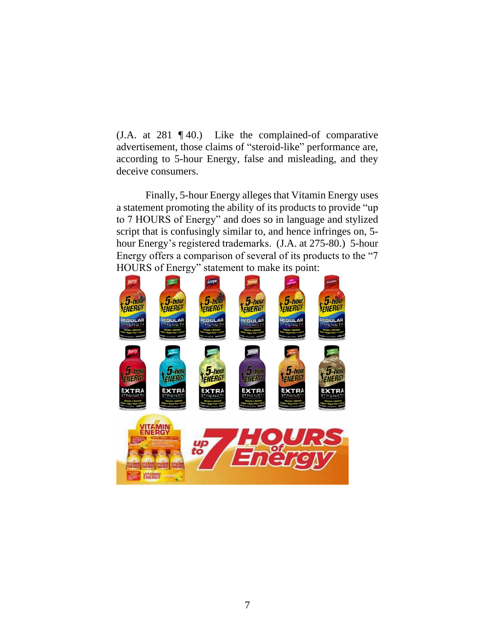(J.A. at 281 ¶ 40.) Like the complained-of comparative advertisement, those claims of "steroid-like" performance are, according to 5-hour Energy, false and misleading, and they deceive consumers.

Finally, 5-hour Energy alleges that Vitamin Energy uses a statement promoting the ability of its products to provide "up to 7 HOURS of Energy" and does so in language and stylized script that is confusingly similar to, and hence infringes on, 5 hour Energy's registered trademarks. (J.A. at 275-80.) 5-hour Energy offers a comparison of several of its products to the "7 HOURS of Energy" statement to make its point:

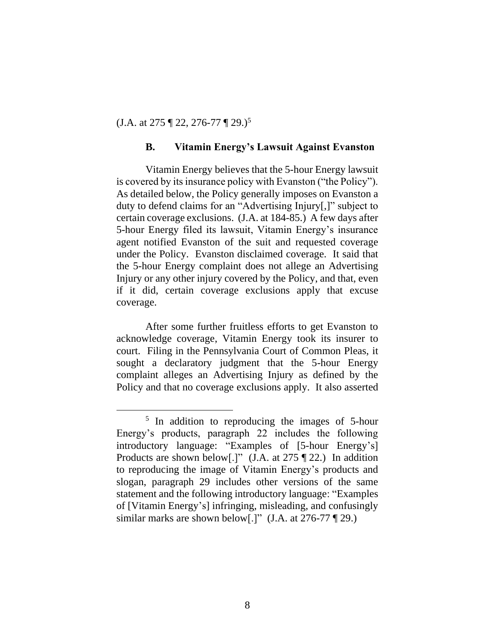(J.A. at 275 ¶ 22, 276-77 ¶ 29.)<sup>5</sup>

#### **B. Vitamin Energy's Lawsuit Against Evanston**

Vitamin Energy believes that the 5-hour Energy lawsuit is covered by its insurance policy with Evanston ("the Policy"). As detailed below, the Policy generally imposes on Evanston a duty to defend claims for an "Advertising Injury[,]" subject to certain coverage exclusions. (J.A. at 184-85.) A few days after 5-hour Energy filed its lawsuit, Vitamin Energy's insurance agent notified Evanston of the suit and requested coverage under the Policy. Evanston disclaimed coverage. It said that the 5-hour Energy complaint does not allege an Advertising Injury or any other injury covered by the Policy, and that, even if it did, certain coverage exclusions apply that excuse coverage.

After some further fruitless efforts to get Evanston to acknowledge coverage, Vitamin Energy took its insurer to court. Filing in the Pennsylvania Court of Common Pleas, it sought a declaratory judgment that the 5-hour Energy complaint alleges an Advertising Injury as defined by the Policy and that no coverage exclusions apply. It also asserted

<sup>&</sup>lt;sup>5</sup> In addition to reproducing the images of 5-hour Energy's products, paragraph 22 includes the following introductory language: "Examples of [5-hour Energy's] Products are shown below[.]" (J.A. at 275 ¶ 22.) In addition to reproducing the image of Vitamin Energy's products and slogan, paragraph 29 includes other versions of the same statement and the following introductory language: "Examples of [Vitamin Energy's] infringing, misleading, and confusingly similar marks are shown below[.]"  $(J.A. at 276-77 \text{ }^{\circ}\text{)}$  29.)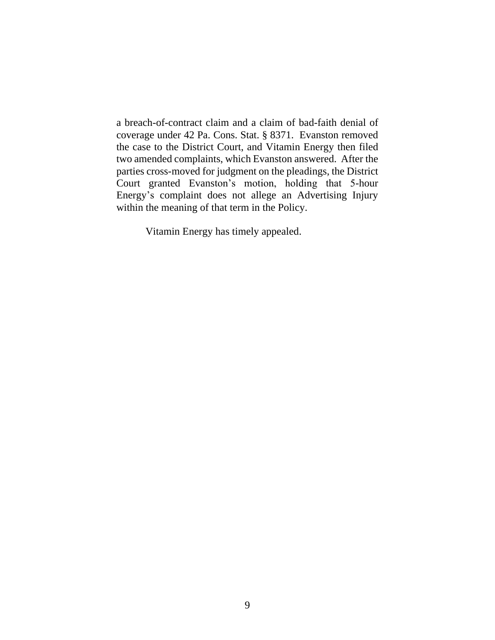a breach-of-contract claim and a claim of bad-faith denial of coverage under 42 Pa. Cons. Stat. § 8371. Evanston removed the case to the District Court, and Vitamin Energy then filed two amended complaints, which Evanston answered. After the parties cross-moved for judgment on the pleadings, the District Court granted Evanston's motion, holding that 5-hour Energy's complaint does not allege an Advertising Injury within the meaning of that term in the Policy.

Vitamin Energy has timely appealed.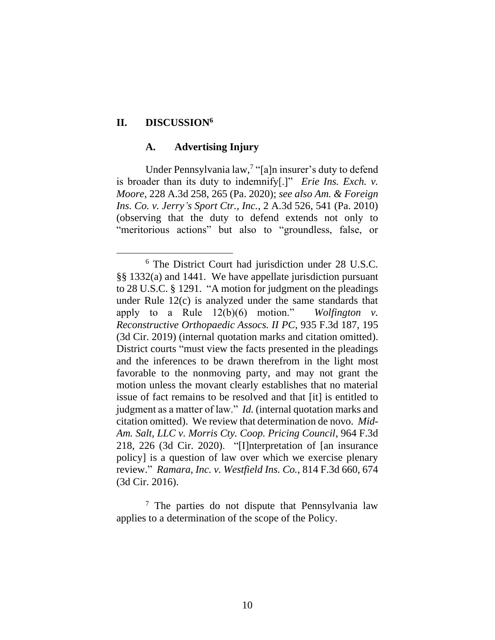#### **II. DISCUSSION<sup>6</sup>**

#### **A. Advertising Injury**

Under Pennsylvania law,<sup>7</sup> "[a]n insurer's duty to defend is broader than its duty to indemnify[.]" *Erie Ins. Exch. v. Moore*, 228 A.3d 258, 265 (Pa. 2020); *see also Am. & Foreign Ins. Co. v. Jerry's Sport Ctr., Inc.*, 2 A.3d 526, 541 (Pa. 2010) (observing that the duty to defend extends not only to "meritorious actions" but also to "groundless, false, or

<sup>7</sup> The parties do not dispute that Pennsylvania law applies to a determination of the scope of the Policy.

<sup>6</sup> The District Court had jurisdiction under 28 U.S.C. §§ 1332(a) and 1441. We have appellate jurisdiction pursuant to 28 U.S.C. § 1291. "A motion for judgment on the pleadings under Rule 12(c) is analyzed under the same standards that apply to a Rule 12(b)(6) motion." *Wolfington v. Reconstructive Orthopaedic Assocs. II PC*, 935 F.3d 187, 195 (3d Cir. 2019) (internal quotation marks and citation omitted). District courts "must view the facts presented in the pleadings and the inferences to be drawn therefrom in the light most favorable to the nonmoving party, and may not grant the motion unless the movant clearly establishes that no material issue of fact remains to be resolved and that [it] is entitled to judgment as a matter of law." *Id.* (internal quotation marks and citation omitted). We review that determination de novo. *Mid-Am. Salt, LLC v. Morris Cty. Coop. Pricing Council*, 964 F.3d 218, 226 (3d Cir. 2020). "[I]nterpretation of [an insurance policy] is a question of law over which we exercise plenary review." *Ramara, Inc. v. Westfield Ins. Co.*, 814 F.3d 660, 674 (3d Cir. 2016).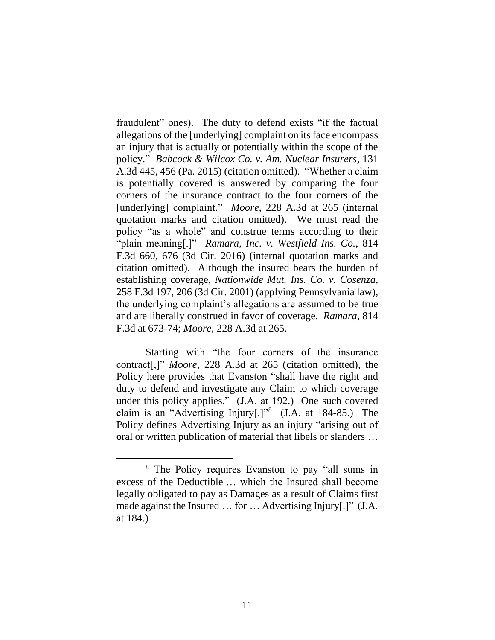fraudulent" ones). The duty to defend exists "if the factual allegations of the [underlying] complaint on its face encompass an injury that is actually or potentially within the scope of the policy." *Babcock & Wilcox Co. v. Am. Nuclear Insurers*, 131 A.3d 445, 456 (Pa. 2015) (citation omitted). "Whether a claim is potentially covered is answered by comparing the four corners of the insurance contract to the four corners of the [underlying] complaint." *Moore*, 228 A.3d at 265 (internal quotation marks and citation omitted). We must read the policy "as a whole" and construe terms according to their "plain meaning[.]" *Ramara, Inc. v. Westfield Ins. Co.*, 814 F.3d 660, 676 (3d Cir. 2016) (internal quotation marks and citation omitted). Although the insured bears the burden of establishing coverage, *Nationwide Mut. Ins. Co. v. Cosenza*, 258 F.3d 197, 206 (3d Cir. 2001) (applying Pennsylvania law), the underlying complaint's allegations are assumed to be true and are liberally construed in favor of coverage. *Ramara*, 814 F.3d at 673-74; *Moore*, 228 A.3d at 265.

Starting with "the four corners of the insurance contract[,]" *Moore*, 228 A.3d at 265 (citation omitted), the Policy here provides that Evanston "shall have the right and duty to defend and investigate any Claim to which coverage under this policy applies." (J.A. at 192.) One such covered claim is an "Advertising Injury[.]"<sup>8</sup> (J.A. at 184-85.) The Policy defines Advertising Injury as an injury "arising out of oral or written publication of material that libels or slanders …

<sup>8</sup> The Policy requires Evanston to pay "all sums in excess of the Deductible … which the Insured shall become legally obligated to pay as Damages as a result of Claims first made against the Insured … for … Advertising Injury[.]" (J.A. at 184.)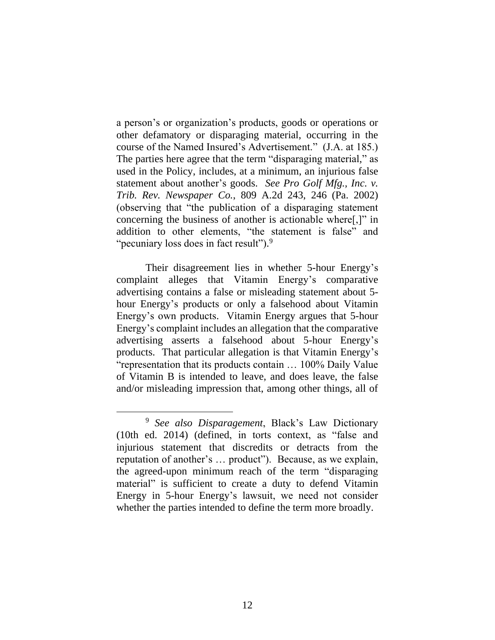a person's or organization's products, goods or operations or other defamatory or disparaging material, occurring in the course of the Named Insured's Advertisement." (J.A. at 185.) The parties here agree that the term "disparaging material," as used in the Policy, includes, at a minimum, an injurious false statement about another's goods. *See Pro Golf Mfg., Inc. v. Trib. Rev. Newspaper Co.*, 809 A.2d 243, 246 (Pa. 2002) (observing that "the publication of a disparaging statement concerning the business of another is actionable where[,]" in addition to other elements, "the statement is false" and "pecuniary loss does in fact result").<sup>9</sup>

Their disagreement lies in whether 5-hour Energy's complaint alleges that Vitamin Energy's comparative advertising contains a false or misleading statement about 5 hour Energy's products or only a falsehood about Vitamin Energy's own products. Vitamin Energy argues that 5-hour Energy's complaint includes an allegation that the comparative advertising asserts a falsehood about 5-hour Energy's products. That particular allegation is that Vitamin Energy's "representation that its products contain … 100% Daily Value of Vitamin B is intended to leave, and does leave, the false and/or misleading impression that, among other things, all of

<sup>9</sup> *See also Disparagement*, Black's Law Dictionary (10th ed. 2014) (defined, in torts context, as "false and injurious statement that discredits or detracts from the reputation of another's … product"). Because, as we explain, the agreed-upon minimum reach of the term "disparaging material" is sufficient to create a duty to defend Vitamin Energy in 5-hour Energy's lawsuit, we need not consider whether the parties intended to define the term more broadly.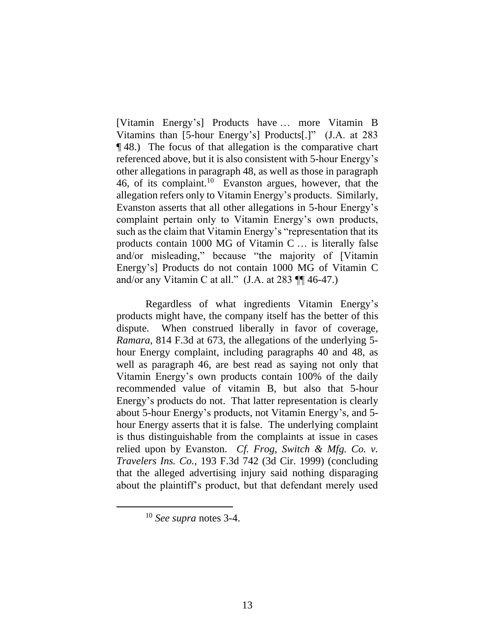[Vitamin Energy's] Products have … more Vitamin B Vitamins than [5-hour Energy's] Products[.]" (J.A. at 283 ¶ 48.) The focus of that allegation is the comparative chart referenced above, but it is also consistent with 5-hour Energy's other allegations in paragraph 48, as well as those in paragraph 46, of its complaint.<sup>10</sup> Evanston argues, however, that the allegation refers only to Vitamin Energy's products. Similarly, Evanston asserts that all other allegations in 5-hour Energy's complaint pertain only to Vitamin Energy's own products, such as the claim that Vitamin Energy's "representation that its products contain 1000 MG of Vitamin C … is literally false and/or misleading," because "the majority of [Vitamin Energy's] Products do not contain 1000 MG of Vitamin C and/or any Vitamin C at all."  $(J.A. at 283 \text{ }\mathbb{H} 46-47.)$ 

Regardless of what ingredients Vitamin Energy's products might have, the company itself has the better of this dispute. When construed liberally in favor of coverage, *Ramara*, 814 F.3d at 673, the allegations of the underlying 5 hour Energy complaint, including paragraphs 40 and 48, as well as paragraph 46, are best read as saying not only that Vitamin Energy's own products contain 100% of the daily recommended value of vitamin B, but also that 5-hour Energy's products do not. That latter representation is clearly about 5-hour Energy's products, not Vitamin Energy's, and 5 hour Energy asserts that it is false. The underlying complaint is thus distinguishable from the complaints at issue in cases relied upon by Evanston. *Cf. Frog, Switch & Mfg. Co. v. Travelers Ins. Co.*, 193 F.3d 742 (3d Cir. 1999) (concluding that the alleged advertising injury said nothing disparaging about the plaintiff's product, but that defendant merely used

<sup>10</sup> *See supra* notes [3](#page-5-0)[-4.](#page-6-0)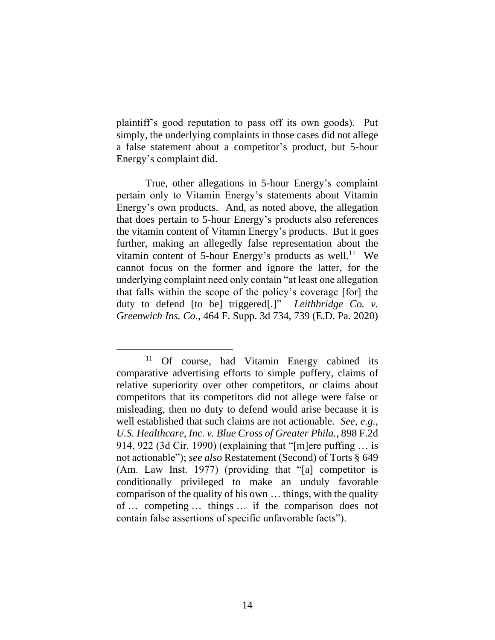plaintiff's good reputation to pass off its own goods). Put simply, the underlying complaints in those cases did not allege a false statement about a competitor's product, but 5-hour Energy's complaint did.

True, other allegations in 5-hour Energy's complaint pertain only to Vitamin Energy's statements about Vitamin Energy's own products. And, as noted above, the allegation that does pertain to 5-hour Energy's products also references the vitamin content of Vitamin Energy's products. But it goes further, making an allegedly false representation about the vitamin content of 5-hour Energy's products as well.<sup>11</sup> We cannot focus on the former and ignore the latter, for the underlying complaint need only contain "at least one allegation that falls within the scope of the policy's coverage [for] the duty to defend [to be] triggered[.]" *Leithbridge Co. v. Greenwich Ins. Co.*, 464 F. Supp. 3d 734, 739 (E.D. Pa. 2020)

<sup>&</sup>lt;sup>11</sup> Of course, had Vitamin Energy cabined its comparative advertising efforts to simple puffery, claims of relative superiority over other competitors, or claims about competitors that its competitors did not allege were false or misleading, then no duty to defend would arise because it is well established that such claims are not actionable. *See, e.g.*, *U.S. Healthcare, Inc. v. Blue Cross of Greater Phila.*, 898 F.2d 914, 922 (3d Cir. 1990) (explaining that "[m]ere puffing … is not actionable"); *see also* Restatement (Second) of Torts § 649 (Am. Law Inst. 1977) (providing that "[a] competitor is conditionally privileged to make an unduly favorable comparison of the quality of his own … things, with the quality of … competing … things … if the comparison does not contain false assertions of specific unfavorable facts").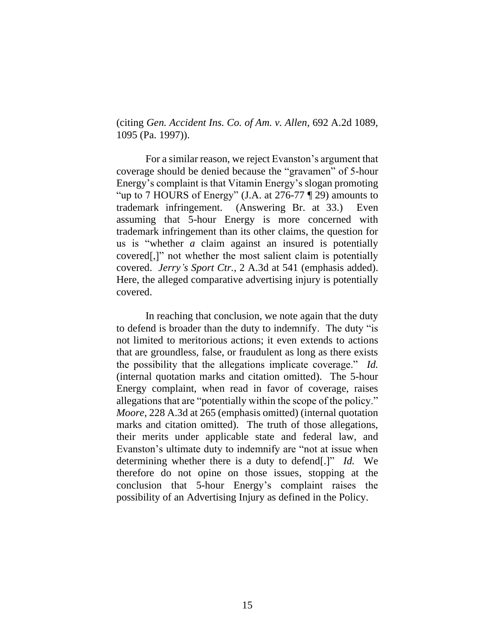(citing *Gen. Accident Ins. Co. of Am. v. Allen*, 692 A.2d 1089, 1095 (Pa. 1997)).

For a similar reason, we reject Evanston's argument that coverage should be denied because the "gravamen" of 5-hour Energy's complaint is that Vitamin Energy's slogan promoting "up to 7 HOURS of Energy" (J.A. at 276-77 ¶ 29) amounts to trademark infringement. (Answering Br. at 33.) Even assuming that 5-hour Energy is more concerned with trademark infringement than its other claims, the question for us is "whether *a* claim against an insured is potentially covered[,]" not whether the most salient claim is potentially covered. *Jerry's Sport Ctr.*, 2 A.3d at 541 (emphasis added). Here, the alleged comparative advertising injury is potentially covered.

In reaching that conclusion, we note again that the duty to defend is broader than the duty to indemnify. The duty "is not limited to meritorious actions; it even extends to actions that are groundless, false, or fraudulent as long as there exists the possibility that the allegations implicate coverage." *Id.* (internal quotation marks and citation omitted). The 5-hour Energy complaint, when read in favor of coverage, raises allegations that are "potentially within the scope of the policy." *Moore*, 228 A.3d at 265 (emphasis omitted) (internal quotation marks and citation omitted). The truth of those allegations, their merits under applicable state and federal law, and Evanston's ultimate duty to indemnify are "not at issue when determining whether there is a duty to defend[.]" *Id.* We therefore do not opine on those issues, stopping at the conclusion that 5-hour Energy's complaint raises the possibility of an Advertising Injury as defined in the Policy.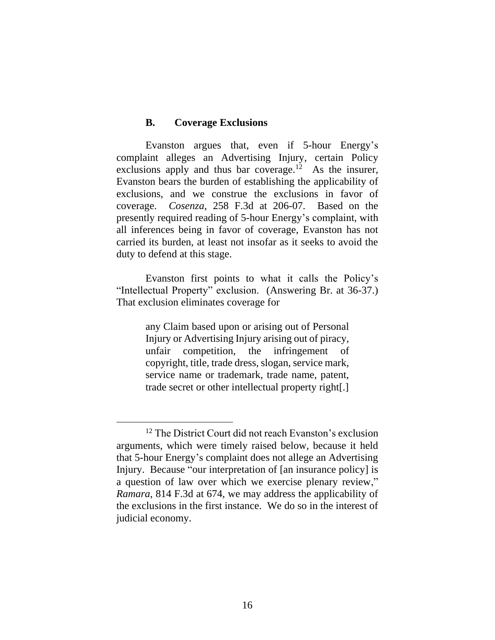#### **B. Coverage Exclusions**

Evanston argues that, even if 5-hour Energy's complaint alleges an Advertising Injury, certain Policy exclusions apply and thus bar coverage.<sup>12</sup> As the insurer, Evanston bears the burden of establishing the applicability of exclusions, and we construe the exclusions in favor of coverage. *Cosenza*, 258 F.3d at 206-07. Based on the presently required reading of 5-hour Energy's complaint, with all inferences being in favor of coverage, Evanston has not carried its burden, at least not insofar as it seeks to avoid the duty to defend at this stage.

Evanston first points to what it calls the Policy's "Intellectual Property" exclusion. (Answering Br. at 36-37.) That exclusion eliminates coverage for

> any Claim based upon or arising out of Personal Injury or Advertising Injury arising out of piracy, unfair competition, the infringement of copyright, title, trade dress, slogan, service mark, service name or trademark, trade name, patent, trade secret or other intellectual property right[.]

<sup>&</sup>lt;sup>12</sup> The District Court did not reach Evanston's exclusion arguments, which were timely raised below, because it held that 5-hour Energy's complaint does not allege an Advertising Injury. Because "our interpretation of [an insurance policy] is a question of law over which we exercise plenary review," *Ramara*, 814 F.3d at 674, we may address the applicability of the exclusions in the first instance. We do so in the interest of judicial economy.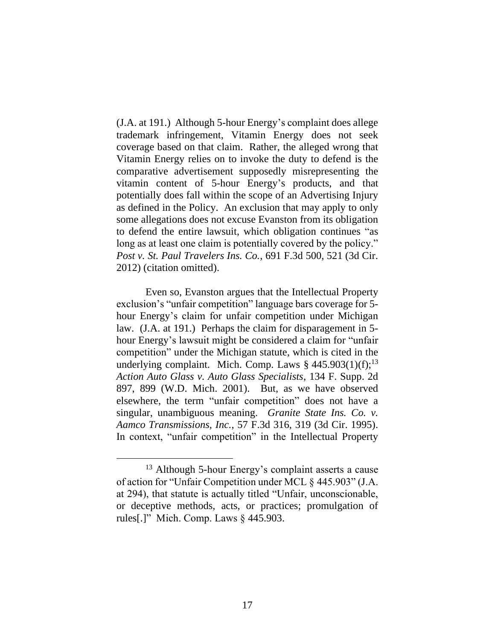(J.A. at 191.) Although 5-hour Energy's complaint does allege trademark infringement, Vitamin Energy does not seek coverage based on that claim. Rather, the alleged wrong that Vitamin Energy relies on to invoke the duty to defend is the comparative advertisement supposedly misrepresenting the vitamin content of 5-hour Energy's products, and that potentially does fall within the scope of an Advertising Injury as defined in the Policy. An exclusion that may apply to only some allegations does not excuse Evanston from its obligation to defend the entire lawsuit, which obligation continues "as long as at least one claim is potentially covered by the policy." *Post v. St. Paul Travelers Ins. Co.*, 691 F.3d 500, 521 (3d Cir. 2012) (citation omitted).

Even so, Evanston argues that the Intellectual Property exclusion's "unfair competition" language bars coverage for 5 hour Energy's claim for unfair competition under Michigan law. (J.A. at 191.) Perhaps the claim for disparagement in 5 hour Energy's lawsuit might be considered a claim for "unfair competition" under the Michigan statute, which is cited in the underlying complaint. Mich. Comp. Laws  $§$  445.903(1)(f);<sup>13</sup> *Action Auto Glass v. Auto Glass Specialists*, 134 F. Supp. 2d 897, 899 (W.D. Mich. 2001). But, as we have observed elsewhere, the term "unfair competition" does not have a singular, unambiguous meaning. *Granite State Ins. Co. v. Aamco Transmissions, Inc.*, 57 F.3d 316, 319 (3d Cir. 1995). In context, "unfair competition" in the Intellectual Property

<sup>&</sup>lt;sup>13</sup> Although 5-hour Energy's complaint asserts a cause of action for "Unfair Competition under MCL § 445.903" (J.A. at 294), that statute is actually titled "Unfair, unconscionable, or deceptive methods, acts, or practices; promulgation of rules[.]" Mich. Comp. Laws § 445.903.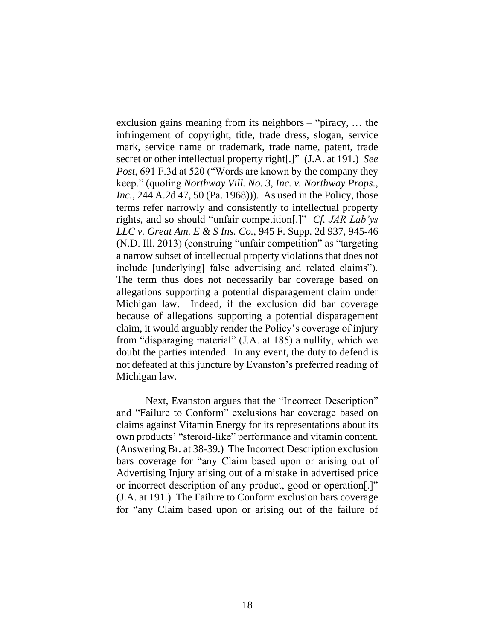exclusion gains meaning from its neighbors – "piracy, … the infringement of copyright, title, trade dress, slogan, service mark, service name or trademark, trade name, patent, trade secret or other intellectual property right[.]" (J.A. at 191.) *See Post*, 691 F.3d at 520 ("Words are known by the company they keep." (quoting *Northway Vill. No. 3, Inc. v. Northway Props., Inc.*, 244 A.2d 47, 50 (Pa. 1968))). As used in the Policy, those terms refer narrowly and consistently to intellectual property rights, and so should "unfair competition[.]" *Cf. JAR Lab'ys LLC v. Great Am. E & S Ins. Co.*, 945 F. Supp. 2d 937, 945-46 (N.D. Ill. 2013) (construing "unfair competition" as "targeting a narrow subset of intellectual property violations that does not include [underlying] false advertising and related claims"). The term thus does not necessarily bar coverage based on allegations supporting a potential disparagement claim under Michigan law. Indeed, if the exclusion did bar coverage because of allegations supporting a potential disparagement claim, it would arguably render the Policy's coverage of injury from "disparaging material" (J.A. at 185) a nullity, which we doubt the parties intended. In any event, the duty to defend is not defeated at this juncture by Evanston's preferred reading of Michigan law.

Next, Evanston argues that the "Incorrect Description" and "Failure to Conform" exclusions bar coverage based on claims against Vitamin Energy for its representations about its own products' "steroid-like" performance and vitamin content. (Answering Br. at 38-39.) The Incorrect Description exclusion bars coverage for "any Claim based upon or arising out of Advertising Injury arising out of a mistake in advertised price or incorrect description of any product, good or operation[.]" (J.A. at 191.) The Failure to Conform exclusion bars coverage for "any Claim based upon or arising out of the failure of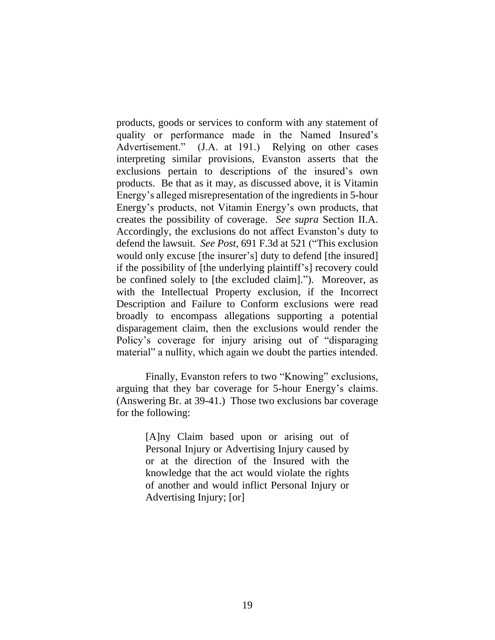products, goods or services to conform with any statement of quality or performance made in the Named Insured's Advertisement." (J.A. at 191.) Relying on other cases interpreting similar provisions, Evanston asserts that the exclusions pertain to descriptions of the insured's own products. Be that as it may, as discussed above, it is Vitamin Energy's alleged misrepresentation of the ingredients in 5-hour Energy's products, not Vitamin Energy's own products, that creates the possibility of coverage. *See supra* Section II.A. Accordingly, the exclusions do not affect Evanston's duty to defend the lawsuit. *See Post*, 691 F.3d at 521 ("This exclusion would only excuse [the insurer's] duty to defend [the insured] if the possibility of [the underlying plaintiff's] recovery could be confined solely to [the excluded claim]."). Moreover, as with the Intellectual Property exclusion, if the Incorrect Description and Failure to Conform exclusions were read broadly to encompass allegations supporting a potential disparagement claim, then the exclusions would render the Policy's coverage for injury arising out of "disparaging material" a nullity, which again we doubt the parties intended.

Finally, Evanston refers to two "Knowing" exclusions, arguing that they bar coverage for 5-hour Energy's claims. (Answering Br. at 39-41.) Those two exclusions bar coverage for the following:

> [A]ny Claim based upon or arising out of Personal Injury or Advertising Injury caused by or at the direction of the Insured with the knowledge that the act would violate the rights of another and would inflict Personal Injury or Advertising Injury; [or]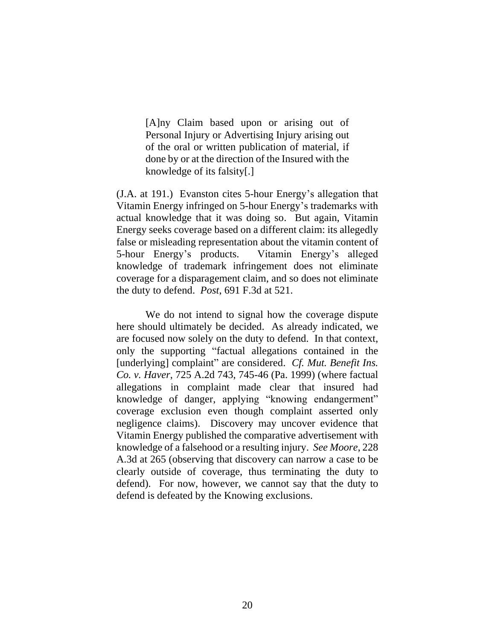[A]ny Claim based upon or arising out of Personal Injury or Advertising Injury arising out of the oral or written publication of material, if done by or at the direction of the Insured with the knowledge of its falsity[.]

(J.A. at 191.) Evanston cites 5-hour Energy's allegation that Vitamin Energy infringed on 5-hour Energy's trademarks with actual knowledge that it was doing so. But again, Vitamin Energy seeks coverage based on a different claim: its allegedly false or misleading representation about the vitamin content of 5-hour Energy's products. Vitamin Energy's alleged knowledge of trademark infringement does not eliminate coverage for a disparagement claim, and so does not eliminate the duty to defend. *Post*, 691 F.3d at 521.

We do not intend to signal how the coverage dispute here should ultimately be decided. As already indicated, we are focused now solely on the duty to defend. In that context, only the supporting "factual allegations contained in the [underlying] complaint" are considered. *Cf. Mut. Benefit Ins. Co. v. Haver*, 725 A.2d 743, 745-46 (Pa. 1999) (where factual allegations in complaint made clear that insured had knowledge of danger, applying "knowing endangerment" coverage exclusion even though complaint asserted only negligence claims). Discovery may uncover evidence that Vitamin Energy published the comparative advertisement with knowledge of a falsehood or a resulting injury. *See Moore*, 228 A.3d at 265 (observing that discovery can narrow a case to be clearly outside of coverage, thus terminating the duty to defend). For now, however, we cannot say that the duty to defend is defeated by the Knowing exclusions.